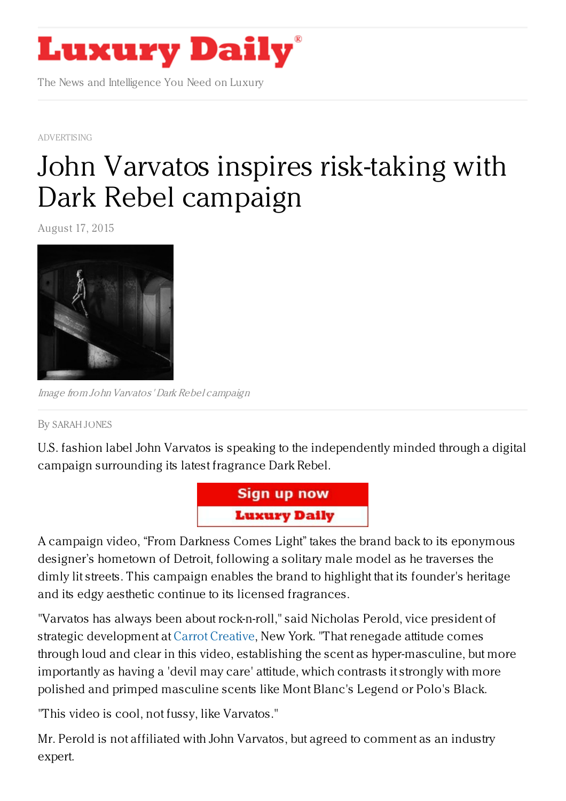

The News and Intelligence You Need on Luxury

[ADVERTISING](https://www.luxurydaily.com/category/news/advertising/)

## John Varvatos inspires [risk-taking](https://www.luxurydaily.com/john-varvatos-inspires-risk-taking-with-dark-rebel-campaign/) with Dark Rebel campaign

August 17, 2015



Image from John Varvatos' Dark Rebel campaign

By [SARAH](/author/sarah-jones) JONES

U.S. fashion label John Varvatos is speaking to the independently minded through a digital campaign surrounding its latest fragrance Dark Rebel.



A campaign video, "From Darkness Comes Light" takes the brand back to its eponymous designer's hometown of Detroit, following a solitary male model as he traverses the dimly lit streets. This campaign enables the brand to highlight that its founder's heritage and its edgy aesthetic continue to its licensed fragrances.

"Varvatos has always been about rock-n-roll," said Nicholas Perold, vice president of strategic development at Carrot [Creative](http://carrot.is/), New York. "That renegade attitude comes through loud and clear in this video, establishing the scent as hyper-masculine, but more importantly as having a 'devil may care' attitude, which contrasts it strongly with more polished and primped masculine scents like Mont Blanc's Legend or Polo's Black.

"This video is cool, not fussy, like Varvatos."

Mr. Perold is not affiliated with John Varvatos, but agreed to comment as an industry expert.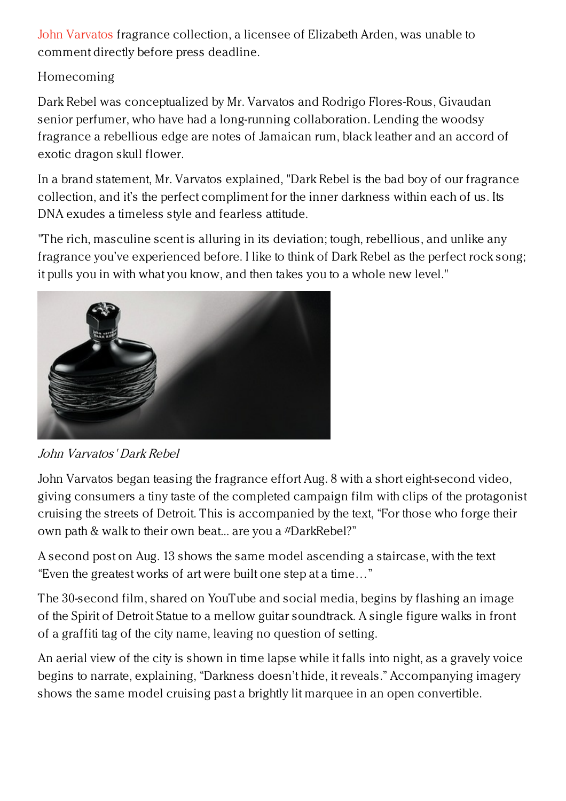John [Varvatos](http://johnvarvatos.com) fragrance collection, a licensee of Elizabeth Arden, was unable to comment directly before press deadline.

## Homecoming

Dark Rebel was conceptualized by Mr. Varvatos and Rodrigo Flores-Rous, Givaudan senior perfumer, who have had a long-running collaboration. Lending the woodsy fragrance a rebellious edge are notes of Jamaican rum, black leather and an accord of exotic dragon skull flower.

In a brand statement, Mr. Varvatos explained, "Dark Rebel is the bad boy of our fragrance collection, and it's the perfect compliment for the inner darkness within each of us. Its DNA exudes a timeless style and fearless attitude.

"The rich, masculine scent is alluring in its deviation; tough, rebellious, and unlike any fragrance you've experienced before. I like to think of Dark Rebel as the perfect rock song; it pulls you in with what you know, and then takes you to a whole new level."



John Varvatos' Dark Rebel

John Varvatos began teasing the fragrance effort Aug. 8 with a short eight-second video, giving consumers a tiny taste of the completed campaign film with clips of the protagonist cruising the streets of Detroit. This is accompanied by the text, "For those who forge their own path & walk to their own beat... are you a #DarkRebel?"

A second post on Aug. 13 shows the same model ascending a staircase, with the text "Even the greatest works of art were built one step at a time…"

The 30-second film, shared on YouTube and social media, begins by flashing an image of the Spirit of Detroit Statue to a mellow guitar soundtrack. A single figure walks in front of a graffiti tag of the city name, leaving no question of setting.

An aerial view of the city is shown in time lapse while it falls into night, as a gravely voice begins to narrate, explaining, "Darkness doesn't hide, it reveals." Accompanying imagery shows the same model cruising past a brightly lit marquee in an open convertible.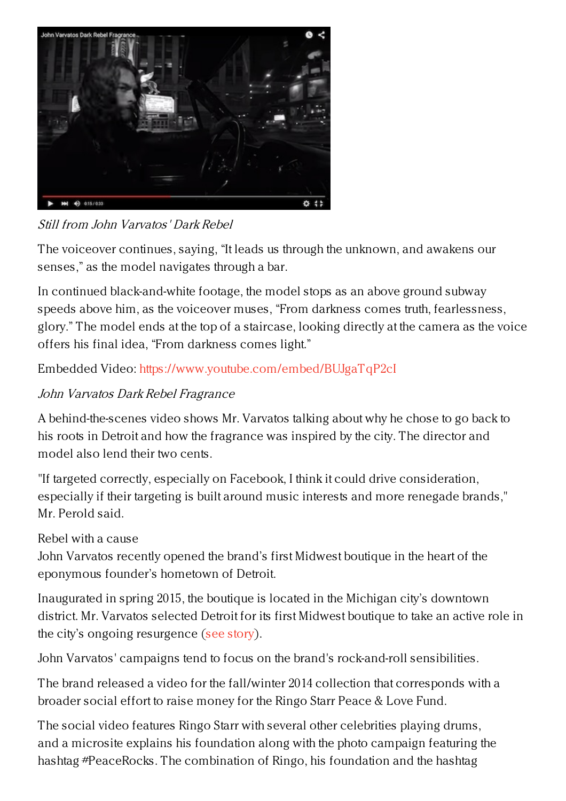

Still from John Varvatos' Dark Rebel

The voiceover continues, saying, "It leads us through the unknown, and awakens our senses," as the model navigates through a bar.

In continued black-and-white footage, the model stops as an above ground subway speeds above him, as the voiceover muses, "From darkness comes truth, fearlessness, glory." The model ends at the top of a staircase, looking directly at the camera as the voice offers his final idea, "From darkness comes light."

Embedded Video: <https://www.youtube.com/embed/BUJgaTqP2cI>

## John Varvatos Dark Rebel Fragrance

A behind-the-scenes video shows Mr. Varvatos talking about why he chose to go back to his roots in Detroit and how the fragrance was inspired by the city. The director and model also lend their two cents.

"If targeted correctly, especially on Facebook, I think it could drive consideration, especially if their targeting is built around music interests and more renegade brands," Mr. Perold said.

## Rebel with a cause

John Varvatos recently opened the brand's first Midwest boutique in the heart of the eponymous founder's hometown of Detroit.

Inaugurated in spring 2015, the boutique is located in the Michigan city's downtown district. Mr. Varvatos selected Detroit for its first Midwest boutique to take an active role in the city's ongoing resurgence (see [story](https://www.luxurydaily.com/john-varvatos-returns-to-cultural-roots-with-detroit-boutique/)).

John Varvatos' campaigns tend to focus on the brand's rock-and-roll sensibilities.

The brand released a video for the fall/winter 2014 collection that corresponds with a broader social effort to raise money for the Ringo Starr Peace & Love Fund.

The social video features Ringo Starr with several other celebrities playing drums, and a microsite explains his foundation along with the photo campaign featuring the hashtag #PeaceRocks. The combination of Ringo, his foundation and the hashtag